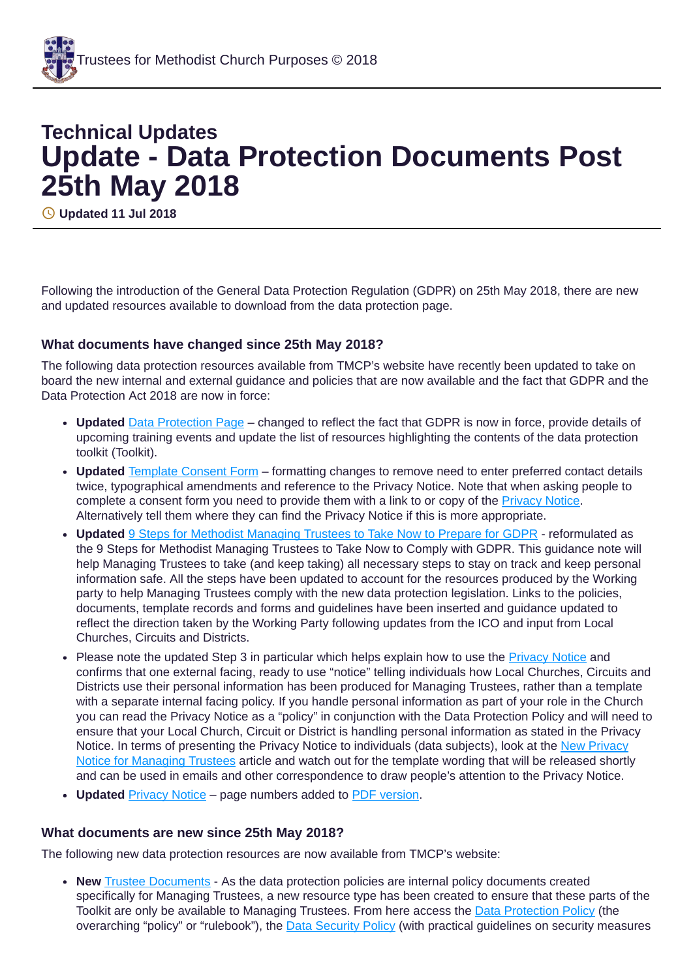## **Technical Updates Update - Data Protection Documents Post 25th May 2018**

**Updated 11 Jul 2018**

Following the introduction of the General Data Protection Regulation (GDPR) on 25th May 2018, there are new and updated resources available to download from the data protection page.

## **What documents have changed since 25th May 2018?**

The following data protection resources available from TMCP's website have recently been updated to take on board the new internal and external guidance and policies that are now available and the fact that GDPR and the Data Protection Act 2018 are now in force:

- Updated **Data [Protection](https://www.tmcp.org.uk/about/data-protection) Page** changed to reflect the fact that GDPR is now in force, provide details of upcoming training events and update the list of resources highlighting the contents of the data protection toolkit (Toolkit).
- **Updated** [Template](https://www.tmcp.org.uk/about/data-protection/resources/standard-documents-and-forms/consent-form) Consent Form formatting changes to remove need to enter preferred contact details twice, typographical amendments and reference to the Privacy Notice. Note that when asking people to complete a consent form you need to provide them with a link to or copy of the [Privacy](https://www.tmcp.org.uk/about/data-protection/managing-trustees-privacy-notice) Notice. Alternatively tell them where they can find the Privacy Notice if this is more appropriate.
- **Updated** 9 Steps for Methodist [Managing](https://www.tmcp.org.uk/about/data-protection/resources/guidenotes/9-steps-gdpr) Trustees to Take Now to Prepare for GDPR reformulated as the 9 Steps for Methodist Managing Trustees to Take Now to Comply with GDPR. This guidance note will help Managing Trustees to take (and keep taking) all necessary steps to stay on track and keep personal information safe. All the steps have been updated to account for the resources produced by the Working party to help Managing Trustees comply with the new data protection legislation. Links to the policies, documents, template records and forms and guidelines have been inserted and guidance updated to reflect the direction taken by the Working Party following updates from the ICO and input from Local Churches, Circuits and Districts.
- Please note the updated Step 3 in particular which helps explain how to use the **[Privacy](https://www.tmcp.org.uk/about/data-protection/managing-trustees-privacy-notice) Notice** and confirms that one external facing, ready to use "notice" telling individuals how Local Churches, Circuits and Districts use their personal information has been produced for Managing Trustees, rather than a template with a separate internal facing policy. If you handle personal information as part of your role in the Church you can read the Privacy Notice as a "policy" in conjunction with the Data Protection Policy and will need to ensure that your Local Church, Circuit or District is handling personal information as stated in the Privacy Notice. In terms of [presenting](https://www.tmcp.org.uk/news-hub/new-privacy-notice-for-managing-trustees) the Privacy Notice to individuals (data subjects), look at the New Privacy Notice for Managing Trustees article and watch out for the template wording that will be released shortly and can be used in emails and other correspondence to draw people's attention to the Privacy Notice.
- Updated **[Privacy](https://www.tmcp.org.uk/about/data-protection/managing-trustees-privacy-notice) Notice** page numbers added to **PDF** [version](https://www.tmcp.org.uk/kcfinder-uploads/files/managing-trustees-privacy-notice.pdf).

## **What documents are new since 25th May 2018?**

The following new data protection resources are now available from TMCP's website:

**New** Trustee [Documents](https://www.tmcp.org.uk/about/data-protection/resources/trustee-documents/data-protection-policy) - As the data protection policies are internal policy documents created specifically for Managing Trustees, a new resource type has been created to ensure that these parts of the Toolkit are only be available to Managing Trustees. From here access the Data [Protection](https://www.tmcp.org.uk/about/data-protection/resources/trustee-documents/data-protection-policy) Policy (the overarching "policy" or "rulebook"), the Data [Security](https://www.tmcp.org.uk/about/data-protection/resources/trustee-documents/data-security-policy) Policy (with practical guidelines on security measures